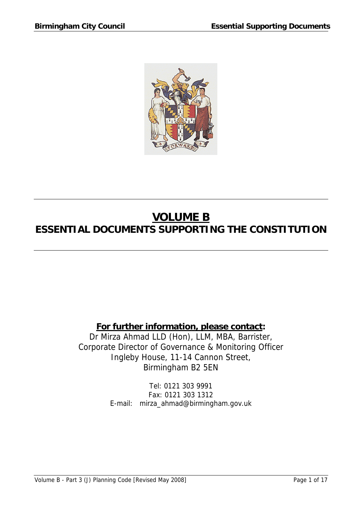

# **VOLUME B ESSENTIAL DOCUMENTS SUPPORTING THE CONSTITUTION**

### **For further information, please contact:**

Dr Mirza Ahmad LLD (Hon), LLM, MBA, Barrister, Corporate Director of Governance & Monitoring Officer Ingleby House, 11-14 Cannon Street, Birmingham B2 5EN

> Tel: 0121 303 9991 Fax: 0121 303 1312 E-mail: mirza\_ahmad@birmingham.gov.uk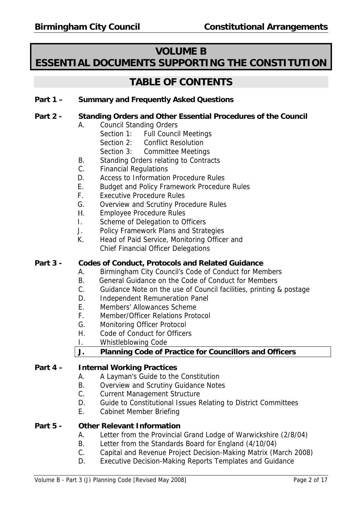### **VOLUME B**

## **ESSENTIAL DOCUMENTS SUPPORTING THE CONSTITUTION**

## **TABLE OF CONTENTS**

#### **Part 1 – Summary and Frequently Asked Questions**

#### **Part 2 - Standing Orders and Other Essential Procedures of the Council**

A. Council Standing Orders

- Section 1: Full Council Meetings
- Section 2: Conflict Resolution
- Section 3: Committee Meetings
- B. Standing Orders relating to Contracts
- C. Financial Regulations
- D. Access to Information Procedure Rules
- E. Budget and Policy Framework Procedure Rules
- F. Executive Procedure Rules
- G. Overview and Scrutiny Procedure Rules
- H. Employee Procedure Rules
- I. Scheme of Delegation to Officers
- J. Policy Framework Plans and Strategies
- K. Head of Paid Service, Monitoring Officer and Chief Financial Officer Delegations

#### **Part 3 - Codes of Conduct, Protocols and Related Guidance**

- A. Birmingham City Council's Code of Conduct for Members
- B. General Guidance on the Code of Conduct for Members
- C. Guidance Note on the use of Council facilities, printing & postage
- D. Independent Remuneration Panel
- E. Members' Allowances Scheme
- F. Member/Officer Relations Protocol
- G. Monitoring Officer Protocol
- H. Code of Conduct for Officers
- I. Whistleblowing Code

#### **J. Planning Code of Practice for Councillors and Officers**

#### **Part 4 – Internal Working Practices**

- A. A Layman's Guide to the Constitution
- B. Overview and Scrutiny Guidance Notes
- C. Current Management Structure
- D. Guide to Constitutional Issues Relating to District Committees
- E. Cabinet Member Briefing

#### **Part 5 - Other Relevant Information**

- A. Letter from the Provincial Grand Lodge of Warwickshire (2/8/04)
- B. Letter from the Standards Board for England (4/10/04)
- C. Capital and Revenue Project Decision-Making Matrix (March 2008)
- D. Executive Decision-Making Reports Templates and Guidance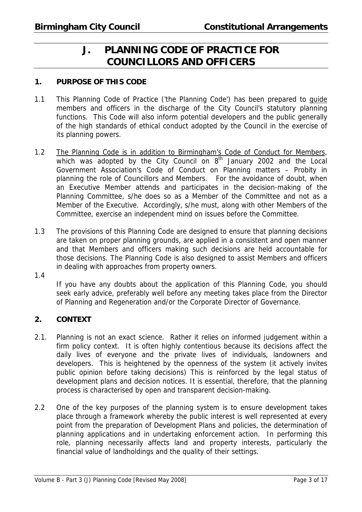## **J. PLANNING CODE OF PRACTICE FOR COUNCILLORS AND OFFICERS**

#### **1. PURPOSE OF THIS CODE**

- 1.1 This Planning Code of Practice ('the Planning Code') has been prepared to guide members and officers in the discharge of the City Council's statutory planning functions. This Code will also inform potential developers and the public generally of the high standards of ethical conduct adopted by the Council in the exercise of its planning powers.
- 1.2 The Planning Code is in addition to Birmingham's Code of Conduct for Members, which was adopted by the City Council on  $8<sup>th</sup>$  January 2002 and the Local Government Association's Code of Conduct on Planning matters – Probity in planning the role of Councillors and Members. For the avoidance of doubt, when an Executive Member attends and participates in the decision-making of the Planning Committee, s/he does so as a Member of the Committee and not as a Member of the Executive. Accordingly, s/he must, along with other Members of the Committee, exercise an independent mind on issues before the Committee.
- 1.3 The provisions of this Planning Code are designed to ensure that planning decisions are taken on proper planning grounds, are applied in a consistent and open manner and that Members and officers making such decisions are held accountable for those decisions. The Planning Code is also designed to assist Members and officers in dealing with approaches from property owners.
- 1.4

 If you have any doubts about the application of this Planning Code, you should seek early advice, preferably well before any meeting takes place from the Director of Planning and Regeneration and/or the Corporate Director of Governance.

#### **2. CONTEXT**

- 2.1. Planning is not an exact science. Rather it relies on informed judgement within a firm policy context. It is often highly contentious because its decisions affect the daily lives of everyone and the private lives of individuals, landowners and developers. This is heightened by the openness of the system (it actively invites public opinion before taking decisions) This is reinforced by the legal status of development plans and decision notices. It is essential, therefore, that the planning process is characterised by open and transparent decision-making.
- 2.2 One of the key purposes of the planning system is to ensure development takes place through a framework whereby the public interest is well represented at every point from the preparation of Development Plans and policies, the determination of planning applications and in undertaking enforcement action. In performing this role, planning necessarily affects land and property interests, particularly the financial value of landholdings and the quality of their settings.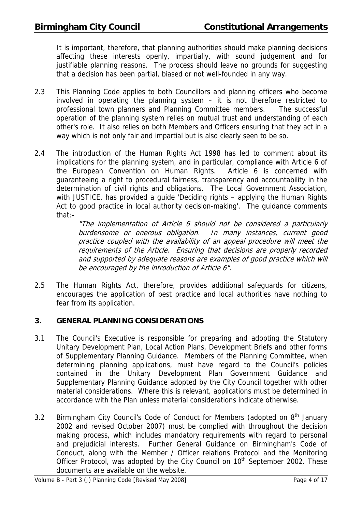It is important, therefore, that planning authorities should make planning decisions affecting these interests openly, impartially, with sound judgement and for justifiable planning reasons. The process should leave no grounds for suggesting that a decision has been partial, biased or not well-founded in any way.

- 2.3 This Planning Code applies to both Councillors and planning officers who become involved in operating the planning system – it is not therefore restricted to professional town planners and Planning Committee members. The successful operation of the planning system relies on mutual trust and understanding of each other's role. It also relies on both Members and Officers ensuring that they act in a way which is not only fair and impartial but is also clearly seen to be so.
- 2.4 The introduction of the Human Rights Act 1998 has led to comment about its implications for the planning system, and in particular, compliance with Article 6 of the European Convention on Human Rights. Article 6 is concerned with guaranteeing a right to procedural fairness, transparency and accountability in the determination of civil rights and obligations. The Local Government Association, with JUSTICE, has provided a guide 'Deciding rights – applying the Human Rights Act to good practice in local authority decision-making'. The guidance comments that:-

"The implementation of Article 6 should not be considered a particularly burdensome or onerous obligation. In many instances, current good practice coupled with the availability of an appeal procedure will meet the requirements of the Article. Ensuring that decisions are properly recorded and supported by adequate reasons are examples of good practice which will be encouraged by the introduction of Article 6".

2.5 The Human Rights Act, therefore, provides additional safeguards for citizens, encourages the application of best practice and local authorities have nothing to fear from its application.

#### **3. GENERAL PLANNING CONSIDERATIONS**

- 3.1 The Council's Executive is responsible for preparing and adopting the Statutory Unitary Development Plan, Local Action Plans, Development Briefs and other forms of Supplementary Planning Guidance. Members of the Planning Committee, when determining planning applications, must have regard to the Council's policies contained in the Unitary Development Plan Government Guidance and Supplementary Planning Guidance adopted by the City Council together with other material considerations. Where this is relevant, applications must be determined in accordance with the Plan unless material considerations indicate otherwise.
- 3.2 Birmingham City Council's Code of Conduct for Members (adopted on 8<sup>th</sup> January 2002 and revised October 2007) must be complied with throughout the decision making process, which includes mandatory requirements with regard to personal and prejudicial interests. Further General Guidance on Birmingham's Code of Conduct, along with the Member / Officer relations Protocol and the Monitoring Officer Protocol, was adopted by the City Council on  $10<sup>th</sup>$  September 2002. These documents are available on the website.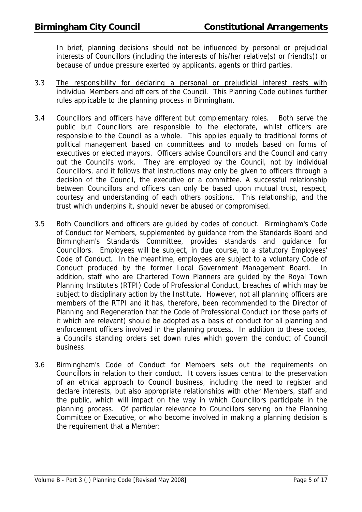In brief, planning decisions should not be influenced by personal or prejudicial interests of Councillors (including the interests of his/her relative(s) or friend(s)) or because of undue pressure exerted by applicants, agents or third parties.

- 3.3 The responsibility for declaring a personal or prejudicial interest rests with individual Members and officers of the Council. This Planning Code outlines further rules applicable to the planning process in Birmingham.
- 3.4 Councillors and officers have different but complementary roles. Both serve the public but Councillors are responsible to the electorate, whilst officers are responsible to the Council as a whole. This applies equally to traditional forms of political management based on committees and to models based on forms of executives or elected mayors. Officers advise Councillors and the Council and carry out the Council's work. They are employed by the Council, not by individual Councillors, and it follows that instructions may only be given to officers through a decision of the Council, the executive or a committee. A successful relationship between Councillors and officers can only be based upon mutual trust, respect, courtesy and understanding of each others positions. This relationship, and the trust which underpins it, should never be abused or compromised.
- 3.5 Both Councillors and officers are guided by codes of conduct. Birmingham's Code of Conduct for Members, supplemented by guidance from the Standards Board and Birmingham's Standards Committee, provides standards and guidance for Councillors. Employees will be subject, in due course, to a statutory Employees' Code of Conduct. In the meantime, employees are subject to a voluntary Code of Conduct produced by the former Local Government Management Board. In addition, staff who are Chartered Town Planners are guided by the Royal Town Planning Institute's (RTPI) Code of Professional Conduct, breaches of which may be subject to disciplinary action by the Institute. However, not all planning officers are members of the RTPI and it has, therefore, been recommended to the Director of Planning and Regeneration that the Code of Professional Conduct (or those parts of it which are relevant) should be adopted as a basis of conduct for all planning and enforcement officers involved in the planning process. In addition to these codes, a Council's standing orders set down rules which govern the conduct of Council business.
- 3.6 Birmingham's Code of Conduct for Members sets out the requirements on Councillors in relation to their conduct. It covers issues central to the preservation of an ethical approach to Council business, including the need to register and declare interests, but also appropriate relationships with other Members, staff and the public, which will impact on the way in which Councillors participate in the planning process. Of particular relevance to Councillors serving on the Planning Committee or Executive, or who become involved in making a planning decision is the requirement that a Member: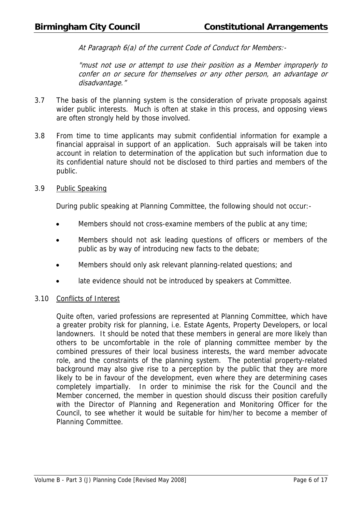At Paragraph 6(a) of the current Code of Conduct for Members:-

"must not use or attempt to use their position as a Member improperly to confer on or secure for themselves or any other person, an advantage or disadvantage."

- 3.7 The basis of the planning system is the consideration of private proposals against wider public interests. Much is often at stake in this process, and opposing views are often strongly held by those involved.
- 3.8 From time to time applicants may submit confidential information for example a financial appraisal in support of an application. Such appraisals will be taken into account in relation to determination of the application but such information due to its confidential nature should not be disclosed to third parties and members of the public.

#### 3.9 Public Speaking

During public speaking at Planning Committee, the following should not occur:-

- Members should not cross-examine members of the public at any time;
- Members should not ask leading questions of officers or members of the public as by way of introducing new facts to the debate;
- Members should only ask relevant planning-related questions; and
- late evidence should not be introduced by speakers at Committee.

#### 3.10 Conflicts of Interest

Quite often, varied professions are represented at Planning Committee, which have a greater probity risk for planning, i.e. Estate Agents, Property Developers, or local landowners. It should be noted that these members in general are more likely than others to be uncomfortable in the role of planning committee member by the combined pressures of their local business interests, the ward member advocate role, and the constraints of the planning system. The potential property-related background may also give rise to a perception by the public that they are more likely to be in favour of the development, even where they are determining cases completely impartially. In order to minimise the risk for the Council and the Member concerned, the member in question should discuss their position carefully with the Director of Planning and Regeneration and Monitoring Officer for the Council, to see whether it would be suitable for him/her to become a member of Planning Committee.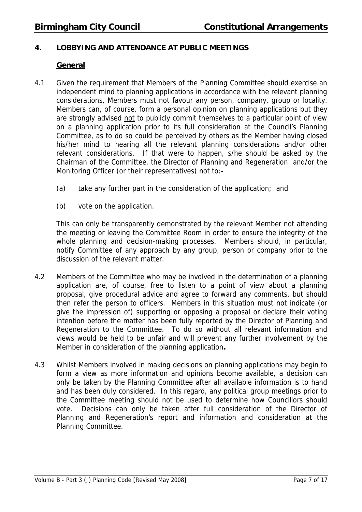#### **4. LOBBYING AND ATTENDANCE AT PUBLIC MEETINGS**

#### **General**

- 4.1 Given the requirement that Members of the Planning Committee should exercise an independent mind to planning applications in accordance with the relevant planning considerations, Members must not favour any person, company, group or locality. Members can, of course, form a personal opinion on planning applications but they are strongly advised not to publicly commit themselves to a particular point of view on a planning application prior to its full consideration at the Council's Planning Committee, as to do so could be perceived by others as the Member having closed his/her mind to hearing all the relevant planning considerations and/or other relevant considerations. If that were to happen, s/he should be asked by the Chairman of the Committee, the Director of Planning and Regeneration and/or the Monitoring Officer (or their representatives) not to:-
	- (a) take any further part in the consideration of the application; and
	- (b) vote on the application.

This can only be transparently demonstrated by the relevant Member not attending the meeting or leaving the Committee Room in order to ensure the integrity of the whole planning and decision-making processes. Members should, in particular, notify Committee of any approach by any group, person or company prior to the discussion of the relevant matter.

- 4.2 Members of the Committee who may be involved in the determination of a planning application are, of course, free to listen to a point of view about a planning proposal, give procedural advice and agree to forward any comments, but should then refer the person to officers. Members in this situation must not indicate (or give the impression of) supporting or opposing a proposal or declare their voting intention before the matter has been fully reported by the Director of Planning and Regeneration to the Committee. To do so without all relevant information and views would be held to be unfair and will prevent any further involvement by the Member in consideration of the planning application**.**
- 4.3 Whilst Members involved in making decisions on planning applications may begin to form a view as more information and opinions become available, a decision can only be taken by the Planning Committee after all available information is to hand and has been duly considered. In this regard, any political group meetings prior to the Committee meeting should not be used to determine how Councillors should vote. Decisions can only be taken after full consideration of the Director of Planning and Regeneration's report and information and consideration at the Planning Committee.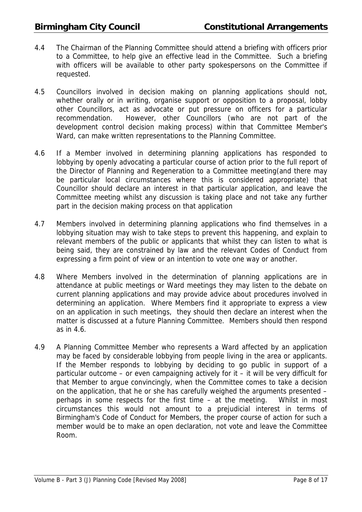- 4.4 The Chairman of the Planning Committee should attend a briefing with officers prior to a Committee, to help give an effective lead in the Committee. Such a briefing with officers will be available to other party spokespersons on the Committee if requested.
- 4.5 Councillors involved in decision making on planning applications should not, whether orally or in writing, organise support or opposition to a proposal, lobby other Councillors, act as advocate or put pressure on officers for a particular recommendation. However, other Councillors (who are not part of the development control decision making process) within that Committee Member's Ward, can make written representations to the Planning Committee.
- 4.6 If a Member involved in determining planning applications has responded to lobbying by openly advocating a particular course of action prior to the full report of the Director of Planning and Regeneration to a Committee meeting(and there may be particular local circumstances where this is considered appropriate) that Councillor should declare an interest in that particular application, and leave the Committee meeting whilst any discussion is taking place and not take any further part in the decision making process on that application
- 4.7 Members involved in determining planning applications who find themselves in a lobbying situation may wish to take steps to prevent this happening, and explain to relevant members of the public or applicants that whilst they can listen to what is being said, they are constrained by law and the relevant Codes of Conduct from expressing a firm point of view or an intention to vote one way or another.
- 4.8 Where Members involved in the determination of planning applications are in attendance at public meetings or Ward meetings they may listen to the debate on current planning applications and may provide advice about procedures involved in determining an application. Where Members find it appropriate to express a view on an application in such meetings, they should then declare an interest when the matter is discussed at a future Planning Committee. Members should then respond as in 4.6.
- 4.9 A Planning Committee Member who represents a Ward affected by an application may be faced by considerable lobbying from people living in the area or applicants. If the Member responds to lobbying by deciding to go public in support of a particular outcome – or even campaigning actively for it – it will be very difficult for that Member to argue convincingly, when the Committee comes to take a decision on the application, that he or she has carefully weighed the arguments presented – perhaps in some respects for the first time – at the meeting. Whilst in most circumstances this would not amount to a prejudicial interest in terms of Birmingham's Code of Conduct for Members, the proper course of action for such a member would be to make an open declaration, not vote and leave the Committee Room.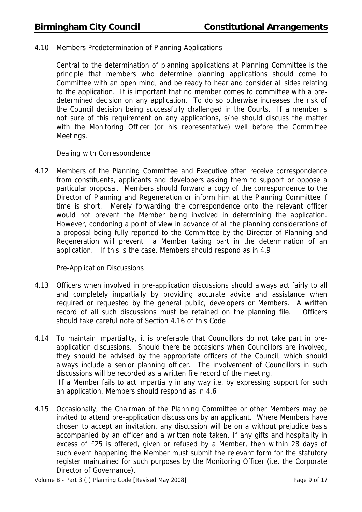#### 4.10 Members Predetermination of Planning Applications

Central to the determination of planning applications at Planning Committee is the principle that members who determine planning applications should come to Committee with an open mind, and be ready to hear and consider all sides relating to the application. It is important that no member comes to committee with a predetermined decision on any application. To do so otherwise increases the risk of the Council decision being successfully challenged in the Courts. If a member is not sure of this requirement on any applications, s/he should discuss the matter with the Monitoring Officer (or his representative) well before the Committee Meetings.

#### Dealing with Correspondence

4.12 Members of the Planning Committee and Executive often receive correspondence from constituents, applicants and developers asking them to support or oppose a particular proposal. Members should forward a copy of the correspondence to the Director of Planning and Regeneration or inform him at the Planning Committee if time is short. Merely forwarding the correspondence onto the relevant officer would not prevent the Member being involved in determining the application. However, condoning a point of view in advance of all the planning considerations of a proposal being fully reported to the Committee by the Director of Planning and Regeneration will prevent a Member taking part in the determination of an application. If this is the case, Members should respond as in 4.9

#### Pre-Application Discussions

- 4.13 Officers when involved in pre-application discussions should always act fairly to all and completely impartially by providing accurate advice and assistance when required or requested by the general public, developers or Members. A written record of all such discussions must be retained on the planning file. Officers should take careful note of Section 4.16 of this Code .
- 4.14 To maintain impartiality, it is preferable that Councillors do not take part in preapplication discussions. Should there be occasions when Councillors are involved, they should be advised by the appropriate officers of the Council, which should always include a senior planning officer. The involvement of Councillors in such discussions will be recorded as a written file record of the meeting.

 If a Member fails to act impartially in any way i.e. by expressing support for such an application, Members should respond as in 4.6

4.15 Occasionally, the Chairman of the Planning Committee or other Members may be invited to attend pre-application discussions by an applicant. Where Members have chosen to accept an invitation, any discussion will be on a without prejudice basis accompanied by an officer and a written note taken. If any gifts and hospitality in excess of £25 is offered, given or refused by a Member, then within 28 days of such event happening the Member must submit the relevant form for the statutory register maintained for such purposes by the Monitoring Officer (i.e. the Corporate Director of Governance).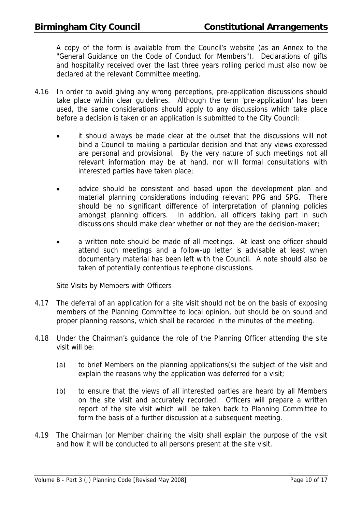A copy of the form is available from the Council's website (as an Annex to the "General Guidance on the Code of Conduct for Members"). Declarations of gifts and hospitality received over the last three years rolling period must also now be declared at the relevant Committee meeting.

- 4.16 In order to avoid giving any wrong perceptions, pre-application discussions should take place within clear guidelines. Although the term 'pre-application' has been used, the same considerations should apply to any discussions which take place before a decision is taken or an application is submitted to the City Council:
	- it should always be made clear at the outset that the discussions will not bind a Council to making a particular decision and that any views expressed are personal and provisional. By the very nature of such meetings not all relevant information may be at hand, nor will formal consultations with interested parties have taken place;
	- advice should be consistent and based upon the development plan and material planning considerations including relevant PPG and SPG. There should be no significant difference of interpretation of planning policies amongst planning officers. In addition, all officers taking part in such discussions should make clear whether or not they are the decision-maker;
	- a written note should be made of all meetings. At least one officer should attend such meetings and a follow-up letter is advisable at least when documentary material has been left with the Council. A note should also be taken of potentially contentious telephone discussions.

#### Site Visits by Members with Officers

- 4.17 The deferral of an application for a site visit should not be on the basis of exposing members of the Planning Committee to local opinion, but should be on sound and proper planning reasons, which shall be recorded in the minutes of the meeting.
- 4.18 Under the Chairman's guidance the role of the Planning Officer attending the site visit will be:
	- (a) to brief Members on the planning applications(s) the subject of the visit and explain the reasons why the application was deferred for a visit;
	- (b) to ensure that the views of all interested parties are heard by all Members on the site visit and accurately recorded. Officers will prepare a written report of the site visit which will be taken back to Planning Committee to form the basis of a further discussion at a subsequent meeting.
- 4.19 The Chairman (or Member chairing the visit) shall explain the purpose of the visit and how it will be conducted to all persons present at the site visit.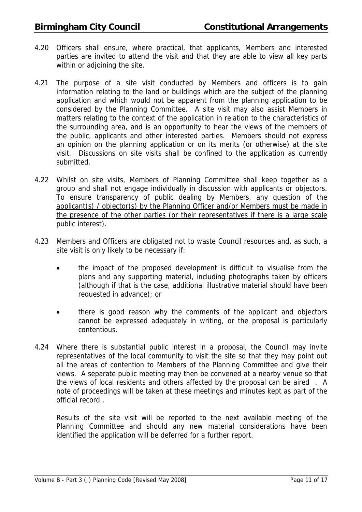- 4.20 Officers shall ensure, where practical, that applicants, Members and interested parties are invited to attend the visit and that they are able to view all key parts within or adjoining the site.
- 4.21 The purpose of a site visit conducted by Members and officers is to gain information relating to the land or buildings which are the subject of the planning application and which would not be apparent from the planning application to be considered by the Planning Committee. A site visit may also assist Members in matters relating to the context of the application in relation to the characteristics of the surrounding area, and is an opportunity to hear the views of the members of the public, applicants and other interested parties. Members should not express an opinion on the planning application or on its merits (or otherwise) at the site visit. Discussions on site visits shall be confined to the application as currently submitted.
- 4.22 Whilst on site visits, Members of Planning Committee shall keep together as a group and shall not engage individually in discussion with applicants or objectors. To ensure transparency of public dealing by Members, any question of the applicant(s) / objector(s) by the Planning Officer and/or Members must be made in the presence of the other parties (or their representatives if there is a large scale public interest).
- 4.23 Members and Officers are obligated not to waste Council resources and, as such, a site visit is only likely to be necessary if:
	- the impact of the proposed development is difficult to visualise from the plans and any supporting material, including photographs taken by officers (although if that is the case, additional illustrative material should have been requested in advance); or
	- there is good reason why the comments of the applicant and objectors cannot be expressed adequately in writing, or the proposal is particularly contentious.
- 4.24 Where there is substantial public interest in a proposal, the Council may invite representatives of the local community to visit the site so that they may point out all the areas of contention to Members of the Planning Committee and give their views. A separate public meeting may then be convened at a nearby venue so that the views of local residents and others affected by the proposal can be aired . A note of proceedings will be taken at these meetings and minutes kept as part of the official record .

Results of the site visit will be reported to the next available meeting of the Planning Committee and should any new material considerations have been identified the application will be deferred for a further report.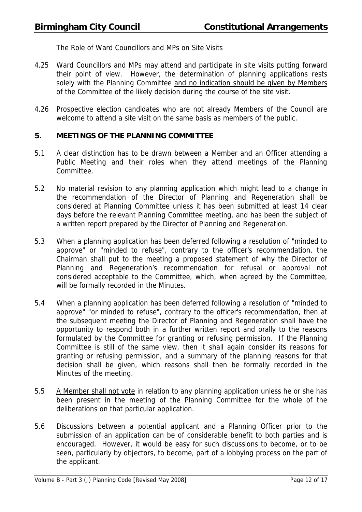#### The Role of Ward Councillors and MPs on Site Visits

- 4.25 Ward Councillors and MPs may attend and participate in site visits putting forward their point of view. However, the determination of planning applications rests solely with the Planning Committee and no indication should be given by Members of the Committee of the likely decision during the course of the site visit.
- 4.26 Prospective election candidates who are not already Members of the Council are welcome to attend a site visit on the same basis as members of the public.

#### **5. MEETINGS OF THE PLANNING COMMITTEE**

- 5.1 A clear distinction has to be drawn between a Member and an Officer attending a Public Meeting and their roles when they attend meetings of the Planning Committee.
- 5.2 No material revision to any planning application which might lead to a change in the recommendation of the Director of Planning and Regeneration shall be considered at Planning Committee unless it has been submitted at least 14 clear days before the relevant Planning Committee meeting, and has been the subject of a written report prepared by the Director of Planning and Regeneration.
- 5.3 When a planning application has been deferred following a resolution of "minded to approve" or "minded to refuse", contrary to the officer's recommendation, the Chairman shall put to the meeting a proposed statement of why the Director of Planning and Regeneration's recommendation for refusal or approval not considered acceptable to the Committee, which, when agreed by the Committee, will be formally recorded in the Minutes.
- 5.4 When a planning application has been deferred following a resolution of "minded to approve" "or minded to refuse", contrary to the officer's recommendation, then at the subsequent meeting the Director of Planning and Regeneration shall have the opportunity to respond both in a further written report and orally to the reasons formulated by the Committee for granting or refusing permission. If the Planning Committee is still of the same view, then it shall again consider its reasons for granting or refusing permission, and a summary of the planning reasons for that decision shall be given, which reasons shall then be formally recorded in the Minutes of the meeting.
- 5.5 A Member shall not vote in relation to any planning application unless he or she has been present in the meeting of the Planning Committee for the whole of the deliberations on that particular application.
- 5.6 Discussions between a potential applicant and a Planning Officer prior to the submission of an application can be of considerable benefit to both parties and is encouraged. However, it would be easy for such discussions to become, or to be seen, particularly by objectors, to become, part of a lobbying process on the part of the applicant.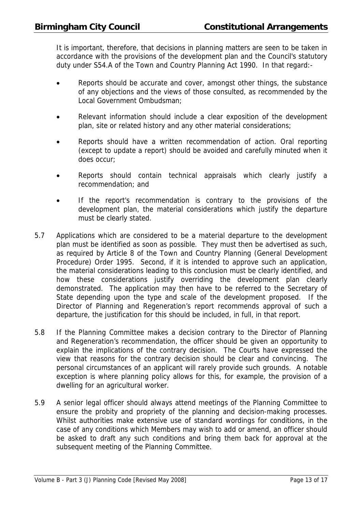It is important, therefore, that decisions in planning matters are seen to be taken in accordance with the provisions of the development plan and the Council's statutory duty under S54.A of the Town and Country Planning Act 1990. In that regard:-

- Reports should be accurate and cover, amongst other things, the substance of any objections and the views of those consulted, as recommended by the Local Government Ombudsman;
- Relevant information should include a clear exposition of the development plan, site or related history and any other material considerations;
- Reports should have a written recommendation of action. Oral reporting (except to update a report) should be avoided and carefully minuted when it does occur;
- Reports should contain technical appraisals which clearly justify a recommendation; and
- If the report's recommendation is contrary to the provisions of the development plan, the material considerations which justify the departure must be clearly stated.
- 5.7 Applications which are considered to be a material departure to the development plan must be identified as soon as possible. They must then be advertised as such, as required by Article 8 of the Town and Country Planning (General Development Procedure) Order 1995. Second, if it is intended to approve such an application, the material considerations leading to this conclusion must be clearly identified, and how these considerations justify overriding the development plan clearly demonstrated. The application may then have to be referred to the Secretary of State depending upon the type and scale of the development proposed. If the Director of Planning and Regeneration's report recommends approval of such a departure, the justification for this should be included, in full, in that report.
- 5.8 If the Planning Committee makes a decision contrary to the Director of Planning and Regeneration's recommendation, the officer should be given an opportunity to explain the implications of the contrary decision. The Courts have expressed the view that reasons for the contrary decision should be clear and convincing. The personal circumstances of an applicant will rarely provide such grounds. A notable exception is where planning policy allows for this, for example, the provision of a dwelling for an agricultural worker.
- 5.9 A senior legal officer should always attend meetings of the Planning Committee to ensure the probity and propriety of the planning and decision-making processes. Whilst authorities make extensive use of standard wordings for conditions, in the case of any conditions which Members may wish to add or amend, an officer should be asked to draft any such conditions and bring them back for approval at the subsequent meeting of the Planning Committee.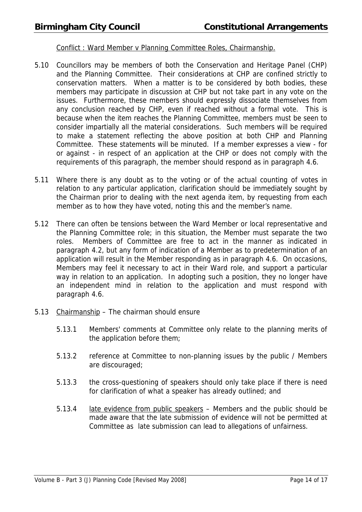#### Conflict : Ward Member v Planning Committee Roles, Chairmanship.

- 5.10 Councillors may be members of both the Conservation and Heritage Panel (CHP) and the Planning Committee. Their considerations at CHP are confined strictly to conservation matters. When a matter is to be considered by both bodies, these members may participate in discussion at CHP but not take part in any vote on the issues. Furthermore, these members should expressly dissociate themselves from any conclusion reached by CHP, even if reached without a formal vote. This is because when the item reaches the Planning Committee, members must be seen to consider impartially all the material considerations. Such members will be required to make a statement reflecting the above position at both CHP and Planning Committee. These statements will be minuted. If a member expresses a view - for or against - in respect of an application at the CHP or does not comply with the requirements of this paragraph, the member should respond as in paragraph 4.6.
- 5.11 Where there is any doubt as to the voting or of the actual counting of votes in relation to any particular application, clarification should be immediately sought by the Chairman prior to dealing with the next agenda item, by requesting from each member as to how they have voted, noting this and the member's name.
- 5.12 There can often be tensions between the Ward Member or local representative and the Planning Committee role; in this situation, the Member must separate the two roles. Members of Committee are free to act in the manner as indicated in paragraph 4.2, but any form of indication of a Member as to predetermination of an application will result in the Member responding as in paragraph 4.6. On occasions, Members may feel it necessary to act in their Ward role, and support a particular way in relation to an application. In adopting such a position, they no longer have an independent mind in relation to the application and must respond with paragraph 4.6.
- 5.13 Chairmanship The chairman should ensure
	- 5.13.1 Members' comments at Committee only relate to the planning merits of the application before them;
	- 5.13.2 reference at Committee to non-planning issues by the public / Members are discouraged;
	- 5.13.3 the cross-questioning of speakers should only take place if there is need for clarification of what a speaker has already outlined; and
	- 5.13.4 late evidence from public speakers Members and the public should be made aware that the late submission of evidence will not be permitted at Committee as late submission can lead to allegations of unfairness.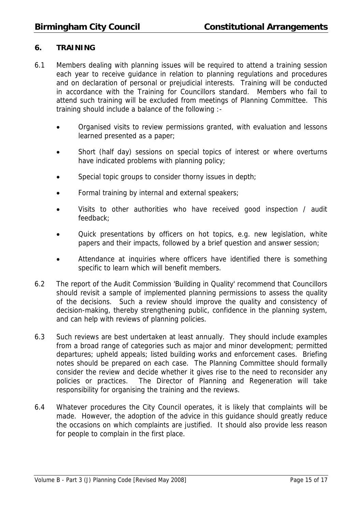#### **6. TRAINING**

- 6.1 Members dealing with planning issues will be required to attend a training session each year to receive guidance in relation to planning regulations and procedures and on declaration of personal or prejudicial interests. Training will be conducted in accordance with the Training for Councillors standard. Members who fail to attend such training will be excluded from meetings of Planning Committee. This training should include a balance of the following :-
	- Organised visits to review permissions granted, with evaluation and lessons learned presented as a paper;
	- Short (half day) sessions on special topics of interest or where overturns have indicated problems with planning policy;
	- Special topic groups to consider thorny issues in depth;
	- Formal training by internal and external speakers;
	- Visits to other authorities who have received good inspection / audit feedback;
	- Quick presentations by officers on hot topics, e.g. new legislation, white papers and their impacts, followed by a brief question and answer session;
	- Attendance at inquiries where officers have identified there is something specific to learn which will benefit members.
- 6.2 The report of the Audit Commission 'Building in Quality' recommend that Councillors should revisit a sample of implemented planning permissions to assess the quality of the decisions. Such a review should improve the quality and consistency of decision-making, thereby strengthening public, confidence in the planning system, and can help with reviews of planning policies.
- 6.3 Such reviews are best undertaken at least annually. They should include examples from a broad range of categories such as major and minor development; permitted departures; upheld appeals; listed building works and enforcement cases. Briefing notes should be prepared on each case. The Planning Committee should formally consider the review and decide whether it gives rise to the need to reconsider any policies or practices. The Director of Planning and Regeneration will take responsibility for organising the training and the reviews.
- 6.4 Whatever procedures the City Council operates, it is likely that complaints will be made. However, the adoption of the advice in this guidance should greatly reduce the occasions on which complaints are justified. It should also provide less reason for people to complain in the first place.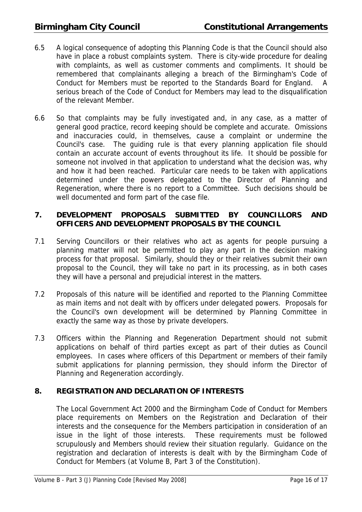- 6.5 A logical consequence of adopting this Planning Code is that the Council should also have in place a robust complaints system. There is city-wide procedure for dealing with complaints, as well as customer comments and compliments. It should be remembered that complainants alleging a breach of the Birmingham's Code of Conduct for Members must be reported to the Standards Board for England. A serious breach of the Code of Conduct for Members may lead to the disqualification of the relevant Member.
- 6.6 So that complaints may be fully investigated and, in any case, as a matter of general good practice, record keeping should be complete and accurate. Omissions and inaccuracies could, in themselves, cause a complaint or undermine the Council's case. The guiding rule is that every planning application file should contain an accurate account of events throughout its life. It should be possible for someone not involved in that application to understand what the decision was, why and how it had been reached. Particular care needs to be taken with applications determined under the powers delegated to the Director of Planning and Regeneration, where there is no report to a Committee. Such decisions should be well documented and form part of the case file.

#### **7. DEVELOPMENT PROPOSALS SUBMITTED BY COUNCILLORS AND OFFICERS AND DEVELOPMENT PROPOSALS BY THE COUNCIL**

- 7.1 Serving Councillors or their relatives who act as agents for people pursuing a planning matter will not be permitted to play any part in the decision making process for that proposal. Similarly, should they or their relatives submit their own proposal to the Council, they will take no part in its processing, as in both cases they will have a personal and prejudicial interest in the matters.
- 7.2 Proposals of this nature will be identified and reported to the Planning Committee as main items and not dealt with by officers under delegated powers. Proposals for the Council's own development will be determined by Planning Committee in exactly the same way as those by private developers.
- 7.3 Officers within the Planning and Regeneration Department should not submit applications on behalf of third parties except as part of their duties as Council employees. In cases where officers of this Department or members of their family submit applications for planning permission, they should inform the Director of Planning and Regeneration accordingly.

#### **8. REGISTRATION AND DECLARATION OF INTERESTS**

 The Local Government Act 2000 and the Birmingham Code of Conduct for Members place requirements on Members on the Registration and Declaration of their interests and the consequence for the Members participation in consideration of an issue in the light of those interests. These requirements must be followed scrupulously and Members should review their situation regularly. Guidance on the registration and declaration of interests is dealt with by the Birmingham Code of Conduct for Members (at Volume B, Part 3 of the Constitution).